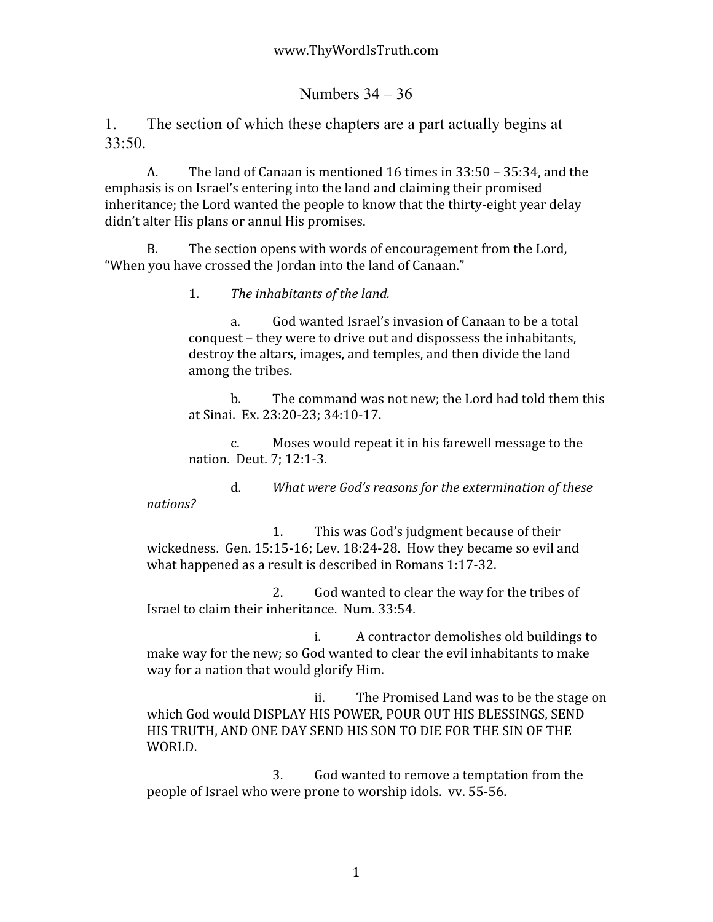Numbers  $34 - 36$ 

1. The section of which these chapters are a part actually begins at 33:50.

A. The
land
of
Canaan
is
mentioned
16
times
in
33:50
–
35:34,
and
the emphasis
is
on
Israel's
entering
into
the
land
and
claiming
their
promised inheritance; the Lord wanted the people to know that the thirty-eight year delay didn't
alter
His
plans
or
annul
His
promises.

B. The
section
opens
with
words
of
encouragement
from
the
Lord, "When you have crossed the Jordan into the land of Canaan."

1. *The
inhabitants
of
the
land.*

a. God
wanted
Israel's
invasion
of
Canaan
to
be
a
total conquest
–
they
were
to
drive
out
and
dispossess
the
inhabitants, destroy the altars, images, and temples, and then divide the land among
the
tribes.

b. The
command
was
not
new;
the
Lord
had
told
them
this at
Sinai.

Ex.
23:20‐23;
34:10‐17.

c. Moses
would
repeat
it
in
his
farewell
message
to
the nation.

Deut.
7;
12:1‐3.

d. *What
were
God's
reasons
for
the
extermination
of
these* 

*nations?*

1. This
was
God's
judgment
because
of
their wickedness. Gen. 15:15-16; Lev. 18:24-28. How they became so evil and what
happened
as
a
result
is
described
in
Romans
1:17‐32.

2. God
wanted
to
clear
the
way
for
the
tribes
of Israel
to
claim
their
inheritance.

Num.
33:54.

i. A
contractor
demolishes
old
buildings
to make
way
for
the
new;
so
God
wanted
to
clear
the
evil
inhabitants
to
make way for a nation that would glorify Him.

ii. The
Promised
Land
was
to
be
the
stage
on which God would DISPLAY HIS POWER, POUR OUT HIS BLESSINGS, SEND HIS TRUTH, AND ONE DAY SEND HIS SON TO DIE FOR THE SIN OF THE WORLD.

3. God
wanted
to
remove
a
temptation
from
the people
of
Israel
who
were
prone
to
worship
idols.

vv.
55‐56.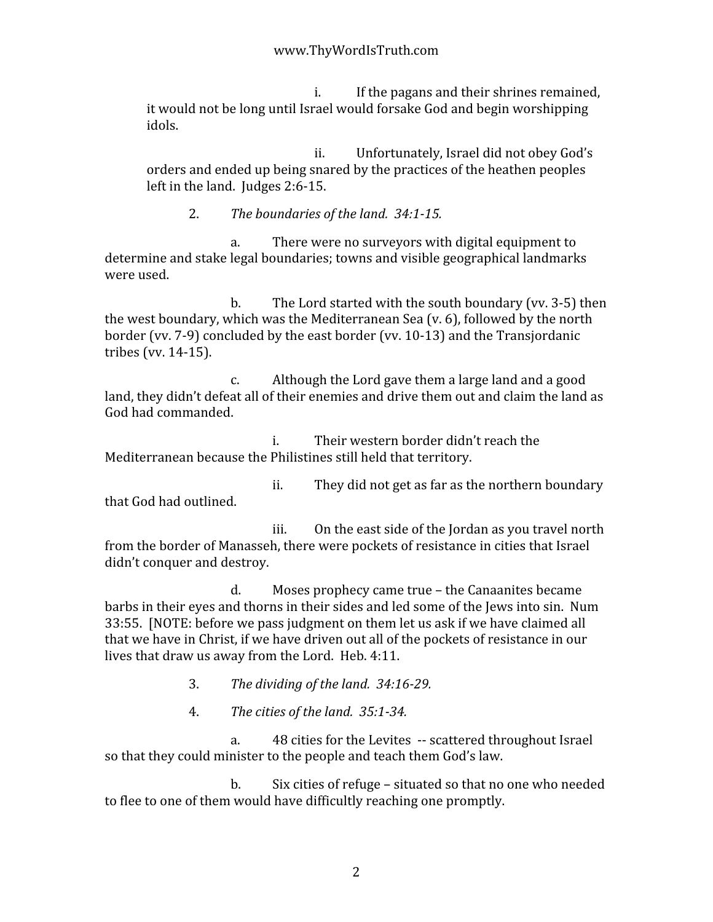i. If
the
pagans
and
their
shrines
remained, it
would
not
be
long
until
Israel
would
forsake
God
and
begin
worshipping idols.

ii. Unfortunately,
Israel
did
not
obey
God's orders
and
ended
up
being
snared
by
the
practices
of
the
heathen
peoples left
in
the
land.

Judges
2:6‐15.

2. The boundaries of the land. 34:1-15.

a. There
were
no
surveyors
with
digital
equipment
to determine and stake legal boundaries; towns and visible geographical landmarks were
used.

b. The Lord started with the south boundary (vv. 3-5) then the
west
boundary,
which
was
the
Mediterranean
Sea
(v.
6),
followed
by
the
north border
(vv.
7‐9)
concluded
by
the
east
border
(vv.
10‐13)
and
the
Transjordanic tribes
(vv.
14‐15).

c. Although
the
Lord
gave
them
a
large
land
and
a
good land, they didn't defeat all of their enemies and drive them out and claim the land as God
had
commanded.

i. Their
western
border
didn't
reach
the Mediterranean
because
the
Philistines
still
held
that
territory.

ii. They
did
not
get
as
far
as
the
northern
boundary that
God
had
outlined.

iii. On
the
east
side
of
the
Jordan
as
you
travel
north from the border of Manasseh, there were pockets of resistance in cities that Israel didn't
conquer
and
destroy.

d. Moses
prophecy
came
true
–
the
Canaanites
became barbs
in
their
eyes
and
thorns
in
their
sides
and
led
some
of
the
Jews
into
sin.

Num 33:55.

[NOTE:
before
we
pass
judgment
on
them
let
us
ask
if
we
have
claimed
all that we have in Christ, if we have driven out all of the pockets of resistance in our lives
that
draw
us
away
from
the
Lord.

Heb.
4:11.

3. *The
dividing
of
the
land.

34:1629.*

4. *The
cities
of
the
land.

35:134.*

a. 48
cities
for
the
Levites

‐‐
scattered
throughout
Israel so that they could minister to the people and teach them God's law.

b. Six
cities
of
refuge
–
situated
so
that
no
one
who
needed to flee to one of them would have difficultly reaching one promptly.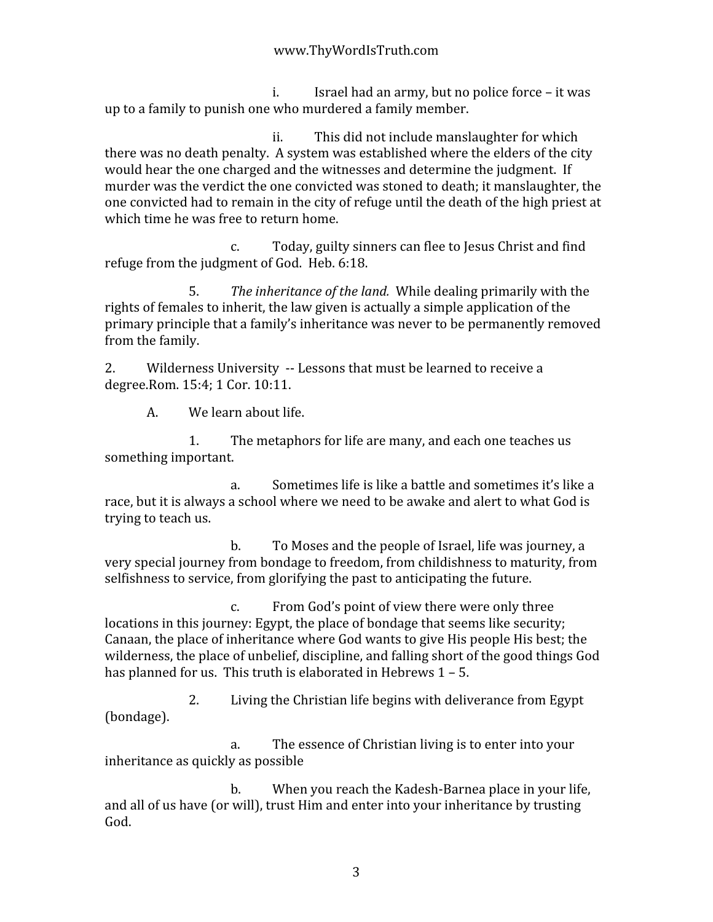i. Israel
had
an
army,
but
no
police
force
–
it
was up
to
a
family
to
punish
one
who
murdered
a
family
member.

ii. This
did
not
include
manslaughter
for
which there
was
no
death
penalty.

A
system
was
established
where
the
elders
of
the
city would hear the one charged and the witnesses and determine the judgment. If murder
was
the
verdict
the
one
convicted
was
stoned
to
death;
it
manslaughter,
the one
convicted
had
to
remain
in
the
city
of
refuge
until
the
death
of
the
high
priest
at which time he was free to return home.

c. Today,
guilty
sinners
can
flee
to
Jesus
Christ
and
find refuge
from
the
judgment
of
God.

Heb.
6:18.

5. *The
inheritance
of
the
land.*While
dealing
primarily
with
the rights of females to inherit, the law given is actually a simple application of the primary
principle
that
a
family's
inheritance
was
never
to
be
permanently
removed from
the
family.

2. Wilderness University -- Lessons that must be learned to receive a degree.Rom.
15:4;
1
Cor.
10:11.

A. We
learn
about
life.

1. The
metaphors
for
life
are
many,
and
each
one
teaches
us something
important.

a. Sometimes
life
is
like
a
battle
and
sometimes
it's
like
a race, but it is always a school where we need to be awake and alert to what God is trying
to
teach
us.

b. To
Moses
and
the
people
of
Israel,
life
was
journey,
a very
special
journey
from
bondage
to
freedom,
from
childishness
to
maturity,
from selfishness to service, from glorifying the past to anticipating the future.

c. From
God's
point
of
view
there
were
only
three locations in this journey: Egypt, the place of bondage that seems like security; Canaan,
the
place
of
inheritance
where
God
wants
to
give
His
people
His
best;
the wilderness, the place of unbelief, discipline, and falling short of the good things God has planned for us. This truth is elaborated in Hebrews 1 - 5.

2. Living
the
Christian
life
begins
with
deliverance
from
Egypt (bondage).

a. The
essence
of
Christian
living
is
to
enter
into
your inheritance
as
quickly
as
possible

b. When
you
reach
the
Kadesh‐Barnea
place
in
your
life, and
all
of
us
have
(or
will),
trust
Him
and
enter
into
your
inheritance
by
trusting God.

3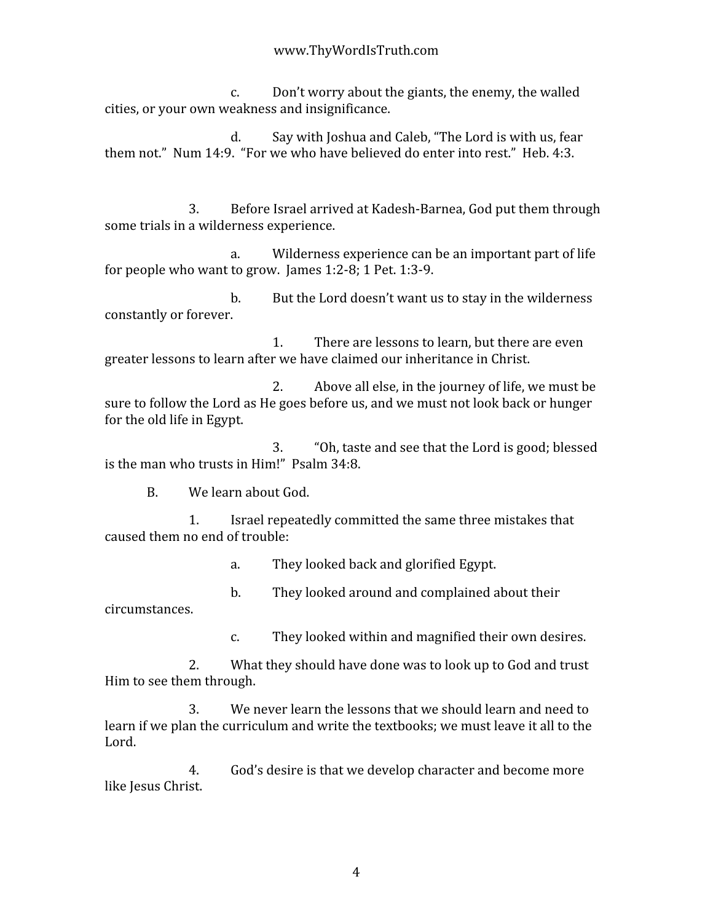c. Don't
worry
about
the
giants,
the
enemy,
the
walled cities,
or
your
own
weakness
and
insignificance.

d. Say
with
Joshua
and
Caleb,
"The
Lord
is
with
us,
fear them not." Num 14:9. "For we who have believed do enter into rest." Heb. 4:3.

3. Before
Israel
arrived
at
Kadesh‐Barnea,
God
put
them
through some
trials
in
a
wilderness
experience.

a. Wilderness
experience
can
be
an
important
part
of
life for people who want to grow. James 1:2-8; 1 Pet. 1:3-9.

b. But the Lord doesn't want us to stay in the wilderness constantly
or
forever.

1. There
are
lessons
to
learn,
but
there
are
even greater lessons to learn after we have claimed our inheritance in Christ.

2. Above
all
else,
in
the
journey
of
life,
we
must
be sure to follow the Lord as He goes before us, and we must not look back or hunger for
the
old
life
in
Egypt.

3. "Oh,
taste
and
see
that
the
Lord
is
good;
blessed is
the
man
who
trusts
in
Him!"

Psalm
34:8.

B. We
learn
about
God.

1. Israel
repeatedly
committed
the
same
three
mistakes
that caused
them
no
end
of
trouble:

a. They
looked
back
and
glorified
Egypt.

b. They
looked
around
and
complained
about
their

circumstances.

c. They
looked
within
and
magnified
their
own
desires.

2. What
they
should
have
done
was
to
look
up
to
God
and
trust Him
to
see
them
through.

3. We
never
learn
the
lessons
that
we
should
learn
and
need
to learn if we plan the curriculum and write the textbooks; we must leave it all to the Lord.

4. God's
desire
is
that
we
develop
character
and
become
more like
Jesus
Christ.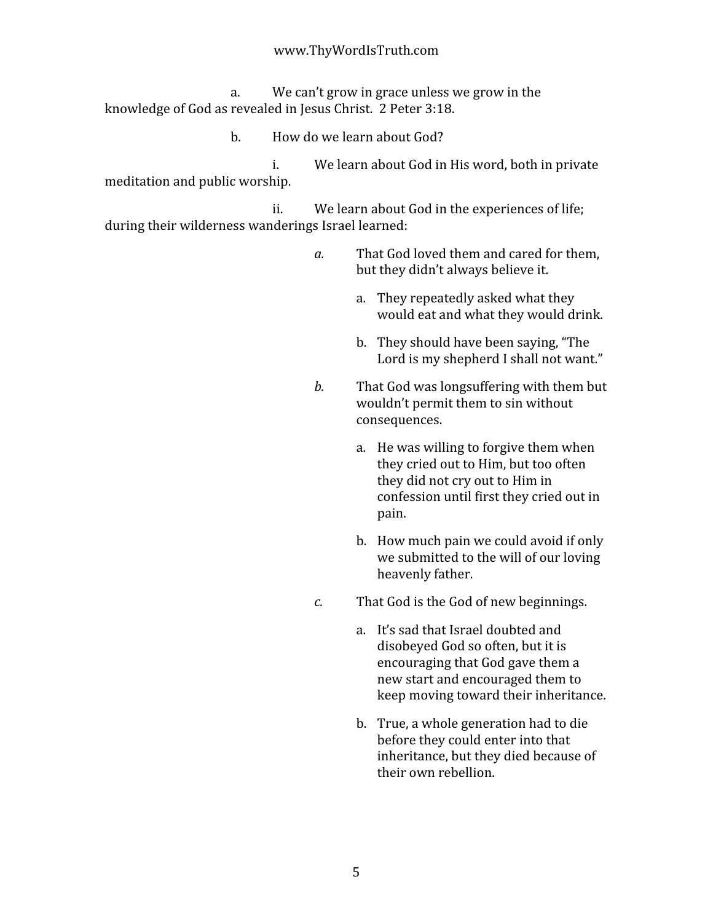a. We
can't
grow
in
grace
unless
we
grow
in
the knowledge of God as revealed in Jesus Christ. 2 Peter 3:18.

b. How
do
we
learn
about
God?

i. We
learn
about
God
in
His
word,
both
in
private meditation
and
public
worship.

ii. We learn about God in the experiences of life; during
their
wilderness
wanderings
Israel
learned:

- a. That God loved them and cared for them, but
they
didn't
always
believe
it.
	- a. They
	repeatedly
	asked
	what
	they would eat and what they would drink.
	- b. They
	should
	have
	been
	saying,
	"The Lord is my shepherd I shall not want."
- b. That God was longsuffering with them but wouldn't permit them to sin without consequences.
	- a. He
	was
	willing
	to
	forgive
	them
	when they cried out to Him, but too often they did not cry out to Him in confession
	until
	first
	they
	cried
	out
	in pain.
	- b. How
	much
	pain
	we
	could
	avoid
	if
	only we submitted to the will of our loving heavenly
	father.
- c. That God is the God of new beginnings.
	- a. It's
	sad
	that
	Israel
	doubted
	and disobeyed
	God
	so
	often,
	but
	it
	is encouraging
	that
	God
	gave
	them
	a new
	start
	and
	encouraged
	them
	to keep
	moving
	toward
	their
	inheritance.
	- b. True,
	a
	whole
	generation
	had
	to
	die before
	they
	could
	enter
	into
	that inheritance,
	but
	they
	died
	because
	of their
	own
	rebellion.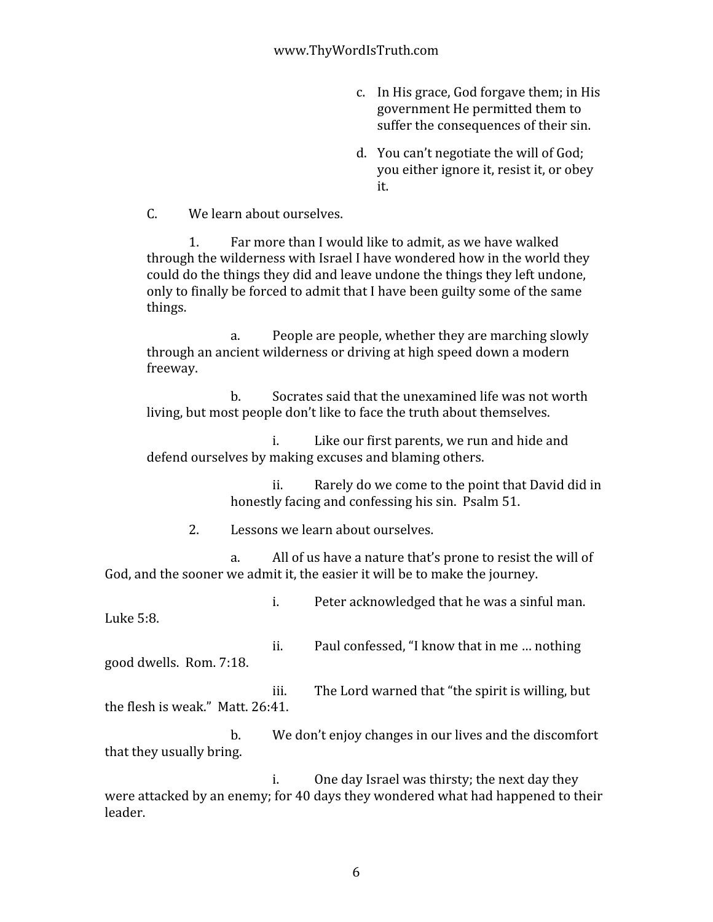- c. In
His
grace,
God
forgave
them;
in
His government
He
permitted
them
to suffer the consequences of their sin.
- d. You
can't
negotiate
the
will
of
God; you
either
ignore
it,
resist
it,
or
obey it.

C. We
learn
about
ourselves.

1. Far
more
than
I
would
like
to
admit,
as
we
have
walked through the wilderness with Israel I have wondered how in the world they could
do
the
things
they
did
and
leave
undone
the
things
they
left
undone, only
to
finally
be
forced
to
admit
that
I
have
been
guilty
some
of
the
same things.

a. People
are
people,
whether
they
are
marching
slowly through an ancient wilderness or driving at high speed down a modern freeway.

b. Socrates
said
that
the
unexamined
life
was
not
worth living, but most people don't like to face the truth about themselves.

i. Like
our
first
parents,
we
run
and
hide
and defend
ourselves
by
making
excuses
and
blaming
others.

> ii. Rarely
> do
> we
> come
> to
> the
> point
> that
> David
> did
> in honestly facing and confessing his sin. Psalm 51.

2. Lessons
we
learn
about
ourselves.

a. All of us have a nature that's prone to resist the will of God, and the sooner we admit it, the easier it will be to make the journey.

i. Peter
acknowledged
that
he
was
a
sinful
man. Luke
5:8.

ii. Paul
confessed,
"I
know
that
in
me
…
nothing good
dwells.

Rom.
7:18.

iii. The
Lord
warned
that
"the
spirit
is
willing,
but the
flesh
is
weak."

Matt.
26:41.

b. We
don't
enjoy
changes
in
our
lives
and
the
discomfort that
they
usually
bring.

i. One
day
Israel
was
thirsty;
the
next
day
they were attacked by an enemy; for 40 days they wondered what had happened to their leader.

6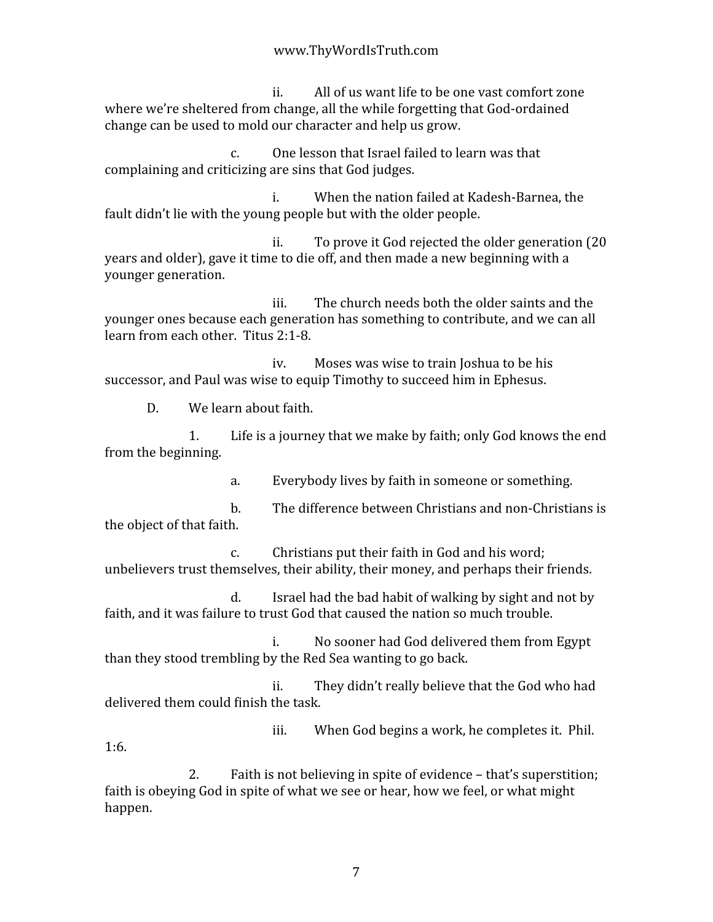ii. All
of
us
want
life
to
be
one
vast
comfort
zone where we're sheltered from change, all the while forgetting that God-ordained change
can
be
used
to
mold
our
character
and
help
us
grow.

c. One
lesson
that
Israel
failed
to
learn
was
that complaining
and
criticizing
are
sins
that
God
judges.

i. When
the
nation
failed
at
Kadesh‐Barnea,
the fault didn't lie with the voung people but with the older people.

ii. To
prove
it
God
rejected
the
older
generation
(20 years and older), gave it time to die off, and then made a new beginning with a younger
generation.

iii. The
church
needs
both
the
older
saints
and
the younger
ones
because
each
generation
has
something
to
contribute,
and
we
can
all learn
from
each
other.

Titus
2:1‐8.

iv. Moses
was
wise
to
train
Joshua
to
be
his successor, and Paul was wise to equip Timothy to succeed him in Ephesus.

D. We
learn
about
faith.

1:6.

1. Life
is
a
journey
that
we
make
by
faith;
only
God
knows
the
end from
the
beginning.

a. Everybody
lives
by
faith
in
someone
or
something.

b. The
difference
between
Christians
and
non‐Christians
is the
object
of
that
faith.

c. Christians
put
their
faith
in
God
and
his
word; unbelievers trust themselves, their ability, their money, and perhaps their friends.

d. Israel
had
the
bad
habit
of
walking
by
sight
and
not
by faith, and it was failure to trust God that caused the nation so much trouble.

i. No
sooner
had
God
delivered
them
from
Egypt than
they
stood
trembling
by
the
Red
Sea
wanting
to
go
back.

ii. They
didn't
really
believe
that
the
God
who
had delivered
them
could
finish
the
task.

iii. When
God
begins
a
work,
he
completes
it.

Phil.

2. Faith
is
not
believing
in
spite
of
evidence
–
that's
superstition; faith is obeying God in spite of what we see or hear, how we feel, or what might happen.

7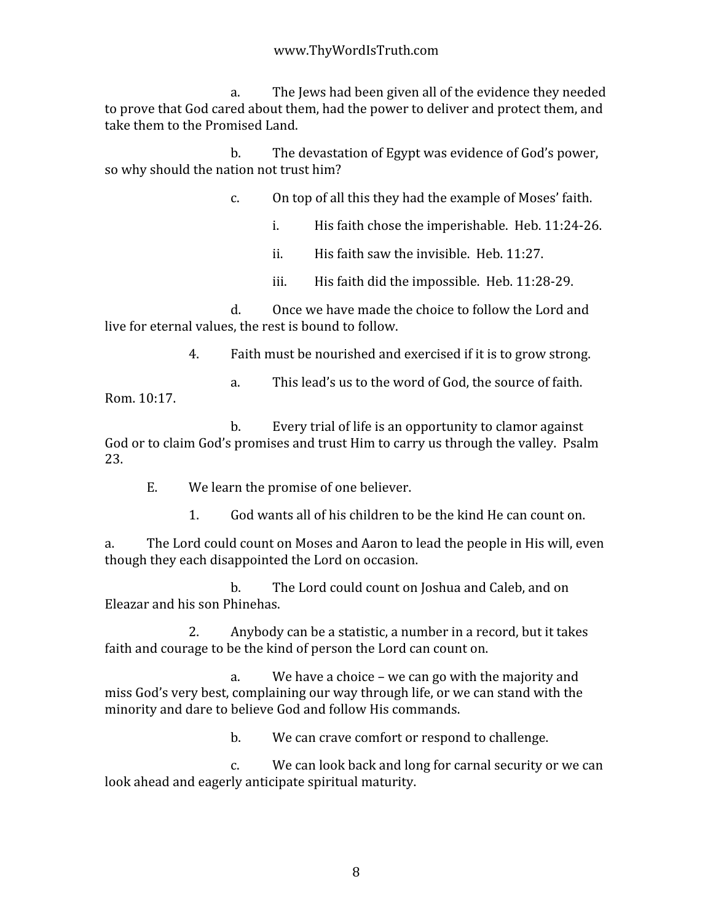a. The
Jews
had
been
given
all
of
the
evidence
they
needed to prove that God cared about them, had the power to deliver and protect them, and take
them
to
the
Promised
Land.

b. The
devastation
of
Egypt
was
evidence
of
God's
power, so
why
should
the
nation
not
trust
him?

c. On
top
of
all
this
they
had
the
example
of
Moses'
faith.

i. His
faith
chose
the
imperishable.

Heb.
11:24‐26.

ii. His
faith
saw
the
invisible.

Heb.
11:27.

iii. His faith did the impossible. Heb. 11:28-29.

d. Once
we
have
made
the
choice
to
follow
the
Lord
and live for eternal values, the rest is bound to follow.

4. Faith
must
be
nourished
and
exercised
if
it
is
to
grow
strong.

a. This
lead's
us
to
the
word
of
God,
the
source
of
faith. Rom.
10:17.

b. Every
trial
of
life
is
an
opportunity
to
clamor
against God or to claim God's promises and trust Him to carry us through the valley. Psalm 23.

E. We
learn
the
promise
of
one
believer.

1. God
wants
all
of
his
children
to
be
the
kind
He
can
count
on.

a. The
Lord
could
count
on
Moses
and
Aaron
to
lead
the
people
in
His
will,
even though
they
each
disappointed
the
Lord
on
occasion.

b. The
Lord
could
count
on
Joshua
and
Caleb,
and
on Eleazar
and
his
son
Phinehas.

2. Anybody
can
be
a
statistic,
a
number
in
a
record,
but
it
takes faith and courage to be the kind of person the Lord can count on.

a. We
have
a
choice
–
we
can
go
with
the
majority
and miss
God's
very
best,
complaining
our
way
through
life,
or
we
can
stand
with
the minority
and
dare
to
believe
God
and
follow
His
commands.

b. We
can
crave
comfort
or
respond
to
challenge.

c. We can look back and long for carnal security or we can look ahead and eagerly anticipate spiritual maturity.